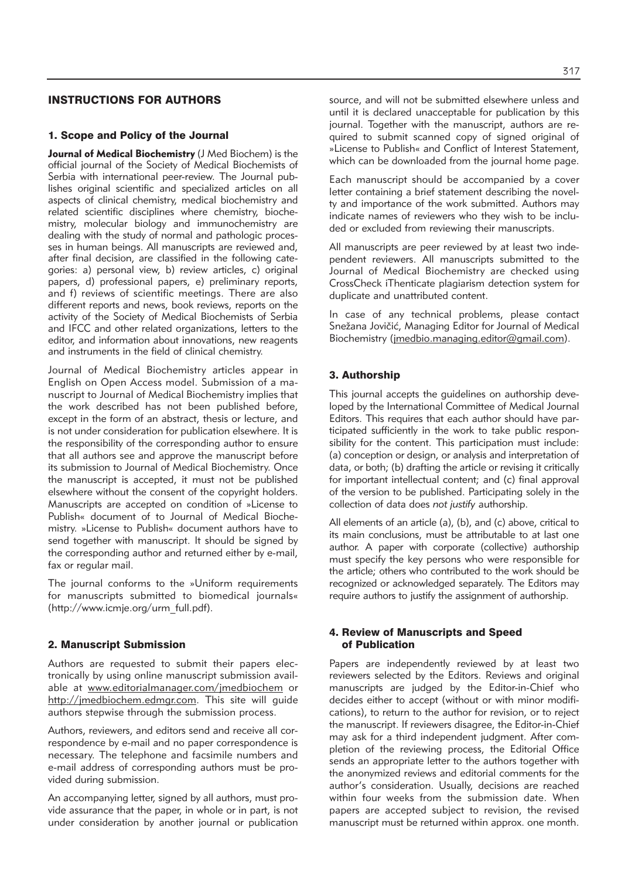# INSTRUCTIONS FOR AUTHORS

### 1. Scope and Policy of the Journal

**Journal of Medical Biochemistry** (J Med Biochem) is the official journal of the Society of Medical Biochemists of Serbia with international peer-review. The Journal publishes original scientific and specialized articles on all aspects of clinical chemistry, medical biochemistry and related scientific disciplines where chemistry, biochemistry, molecular biology and immunochemistry are dealing with the study of normal and pathologic processes in human beings. All manuscripts are reviewed and, after final decision, are classified in the following categories: a) personal view, b) review articles, c) original papers, d) professional papers, e) preliminary reports, and f) reviews of scientific meetings. There are also different reports and news, book reviews, reports on the activity of the Society of Medical Biochemists of Serbia and IFCC and other related organizations, letters to the editor, and information about innovations, new reagents and instruments in the field of clinical chemistry.

Journal of Medical Biochemistry articles appear in English on Open Access model. Submission of a manu script to Journal of Medical Biochemistry implies that the work described has not been published before, except in the form of an abstract, thesis or lecture, and is not under consideration for publication elsewhere. It is the responsibility of the corresponding author to ensure that all authors see and approve the manuscript before its submission to Journal of Medical Biochemistry. Once the manuscript is accepted, it must not be published elsewhere without the consent of the copyright holders. Manuscripts are accepted on condition of »License to Publish« document of to Journal of Medical Biochemistry. »License to Publish« document authors have to send together with manuscript. It should be signed by the corresponding author and returned either by e-mail, fax or regular mail.

The journal conforms to the »Uniform requirements for manuscripts submitted to biomedical journals« (http://www.icmje.org/urm\_full.pdf).

#### 2. Manuscript Submission

Authors are requested to submit their papers electronically by using online manuscript submission available at www.editorialmanager.com/jmedbiochem or http://imedbiochem.edmar.com. This site will quide authors stepwise through the submission process.

Authors, reviewers, and editors send and receive all correspondence by e-mail and no paper correspondence is necessary. The telephone and facsimile numbers and e-mail address of corresponding authors must be provided during submission.

An accompanying letter, signed by all authors, must provide assurance that the paper, in whole or in part, is not under consideration by another journal or publication source, and will not be submitted elsewhere unless and until it is declared unacceptable for publication by this journal. Together with the manuscript, authors are required to submit scanned copy of signed original of »License to Publish« and Conflict of Interest Statement, which can be downloaded from the journal home page.

Each manuscript should be accompanied by a cover letter containing a brief statement describing the novelty and importance of the work submitted. Authors may indicate names of reviewers who they wish to be included or excluded from reviewing their manuscripts.

All manuscripts are peer reviewed by at least two independent reviewers. All manuscripts submitted to the Journal of Medical Biochemistry are checked using CrossCheck iThenticate plagiarism detection system for duplicate and unattributed content.

In case of any technical problems, please contact Snežana Jovičić, Managing Editor for Journal of Medical Biochemistry (jmedbio.managing.editor@gmail.com).

## 3. Authorship

This journal accepts the quidelines on authorship developed by the International Committee of Medical Journal Editors. This requires that each author should have participated sufficiently in the work to take public responsibility for the content. This participation must include: (a) conception or design, or analysis and interpretation of data, or both; (b) drafting the article or revising it critically for important intellectual content; and (c) final approval of the version to be published. Participating solely in the collection of data does *not justify* authorship.

All elements of an article (a), (b), and (c) above, critical to its main conclusions, must be attributable to at last one author. A paper with corporate (collective) authorship must specify the key persons who were responsible for the article; others who contributed to the work should be re cognized or acknowledged separately. The Editors may require authors to justify the assignment of authorship.

### 4. Review of Manuscripts and Speed of Publication

Papers are independently reviewed by at least two reviewers selected by the Editors. Reviews and original manuscripts are judged by the Editor-in-Chief who decides either to accept (without or with minor modifications), to return to the author for revision, or to reject the manuscript. If reviewers disagree, the Editor-in-Chief may ask for a third independent judgment. After completion of the reviewing process, the Editorial Office sends an appropriate letter to the authors together with the anonymized reviews and editorial comments for the author's consideration. Usually, decisions are reached within four weeks from the submission date. When papers are accepted subject to revision, the revised manuscript must be returned within approx. one month.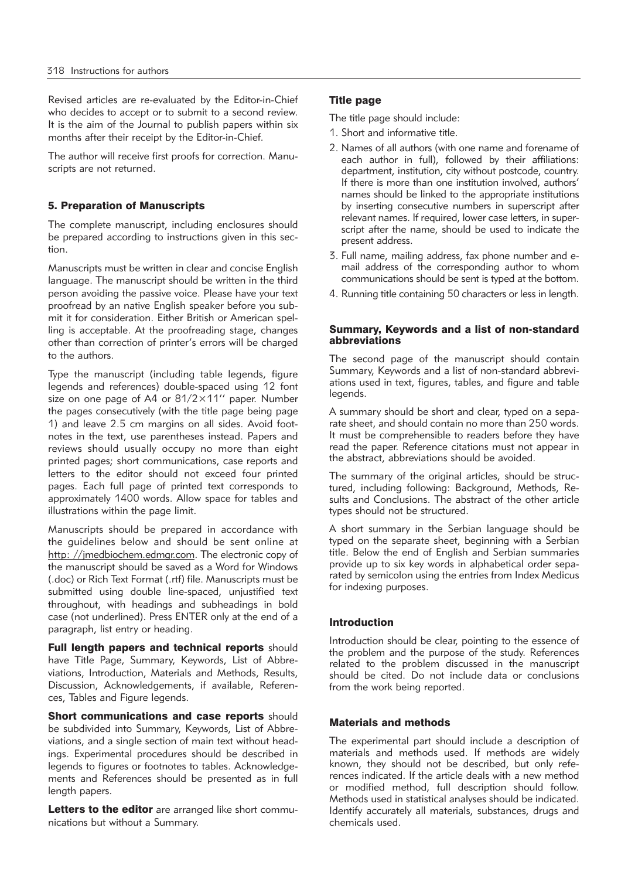Revised articles are re-evaluated by the Editor-in-Chief who decides to accept or to submit to a second review. It is the aim of the Journal to publish papers within six months after their receipt by the Editor-in-Chief.

The author will receive first proofs for correction. Manuscripts are not returned.

## 5. Preparation of Manuscripts

The complete manuscript, including enclosures should be prepared according to instructions given in this section.

Manuscripts must be written in clear and concise English language. The manuscript should be written in the third person avoiding the passive voice. Please have your text proofread by an native English speaker before you submit it for consideration. Either British or American spelling is acceptable. At the proofreading stage, changes other than correction of printer's errors will be charged to the authors.

Type the manuscript (including table legends, figure legends and references) double-spaced using 12 font size on one page of A4 or 81/2×11'' paper. Number the pages consecutively (with the title page being page 1) and leave 2.5 cm margins on all sides. Avoid footnotes in the text, use parentheses instead. Papers and reviews should usually occupy no more than eight printed pages; short communications, case reports and letters to the editor should not exceed four printed pages. Each full page of printed text corresponds to approximately 1400 words. Allow space for tables and illustrations within the page limit.

Manuscripts should be prepared in accordance with the guidelines below and should be sent online at http: //imedbiochem.edmgr.com. The electronic copy of the manuscript should be saved as a Word for Windows (.doc) or Rich Text Format (.rtf) file. Manuscripts must be submitted using double line-spaced, unjustified text throughout, with headings and subheadings in bold case (not underlined). Press ENTER only at the end of a paragraph, list entry or heading.

Full length papers and technical reports should have Title Page, Summary, Keywords, List of Abbreviations, Introduction, Materials and Methods, Results, Discussion, Acknowledgements, if available, References, Tables and Figure legends.

**Short communications and case reports should** be subdivided into Summary, Keywords, List of Abbrevia tions, and a single section of main text without headings. Experimental procedures should be described in legends to figures or footnotes to tables. Acknowledgements and References should be presented as in full length papers.

Letters to the editor are arranged like short communications but without a Summary.

## Title page

The title page should include:

- 1. Short and informative title.
- 2. Names of all authors (with one name and forename of each author in full), followed by their affiliations: department, institution, city without postcode, country. If there is more than one institution involved, authors' names should be linked to the appropriate institutions by inserting consecutive numbers in superscript after relevant names. If required, lower case letters, in superscript after the name, should be used to indicate the present address.
- 3. Full name, mailing address, fax phone number and email address of the corresponding author to whom communications should be sent is typed at the bottom.
- 4. Running title containing 50 characters or less in length.

### Summary, Keywords and a list of non-standard abbreviations

The second page of the manuscript should contain Summary, Keywords and a list of non-standard abbreviations used in text, figures, tables, and figure and table legends.

A summary should be short and clear, typed on a separate sheet, and should contain no more than 250 words. It must be comprehensible to readers before they have read the paper. Reference citations must not appear in the abstract, abbreviations should be avoided.

The summary of the original articles, should be structured, including following: Background, Methods, Results and Conclusions. The abstract of the other article types should not be structured.

A short summary in the Serbian language should be typed on the separate sheet, beginning with a Serbian title. Below the end of English and Serbian summaries provide up to six key words in alphabetical order separated by semicolon using the entries from Index Medicus for indexing purposes.

### Introduction

Introduction should be clear, pointing to the essence of the problem and the purpose of the study. References related to the problem discussed in the manuscript should be cited. Do not include data or conclusions from the work being reported.

### Materials and methods

The experimental part should include a description of materials and methods used. If methods are widely known, they should not be described, but only references indicated. If the article deals with a new method or modified method, full description should follow. Methods used in statistical analyses should be indicated. Identify accurately all materials, substances, drugs and chemicals used.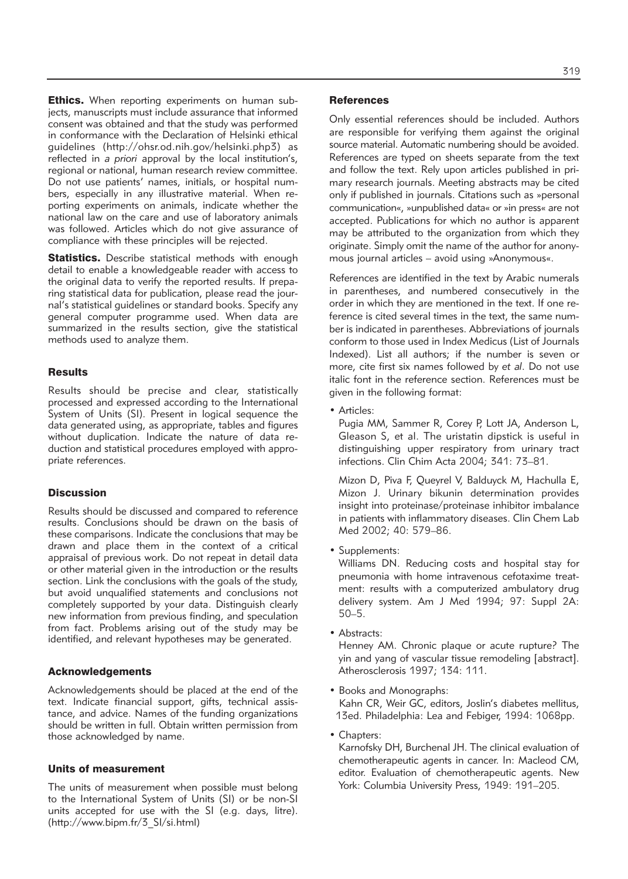Ethics. When reporting experiments on human subjects, manuscripts must include assurance that informed consent was obtained and that the study was performed in conformance with the Declaration of Helsinki ethical guidelines (http://ohsr.od.nih.gov/helsinki.php3) as reflected in *a priori* approval by the local institution's, regional or national, human research review committee. Do not use patients' names, initials, or hospital numbers, especially in any illustrative material. When reporting experiments on animals, indicate whether the national law on the care and use of laboratory animals was followed. Articles which do not give assurance of compliance with these principles will be rejected.

Statistics. Describe statistical methods with enough detail to enable a knowledgeable reader with access to the original data to verify the reported results. If preparing statistical data for publication, please read the journal's statistical guidelines or standard books. Specify any general computer programme used. When data are summarized in the results section, give the statistical methods used to analyze them.

### **Results**

Results should be precise and clear, statistically processed and expressed according to the International System of Units (SI). Present in logical sequence the data generated using, as appropriate, tables and figures without duplication. Indicate the nature of data reduction and statistical procedures employed with appropriate references.

## **Discussion**

Results should be discussed and compared to reference results. Conclusions should be drawn on the basis of these comparisons. Indicate the conclusions that may be drawn and place them in the context of a critical appraisal of previous work. Do not repeat in detail data or other material given in the introduction or the results section. Link the conclusions with the goals of the study, but avoid unqualified statements and conclusions not completely supported by your data. Distinguish clearly new information from previous finding, and speculation from fact. Problems arising out of the study may be identified, and relevant hypotheses may be generated.

### Acknowledgements

Acknowledgements should be placed at the end of the text. Indicate financial support, gifts, technical assistance, and advice. Names of the funding organizations should be written in full. Obtain written permission from those acknowledged by name.

#### Units of measurement

The units of measurement when possible must belong to the International System of Units (SI) or be non-SI units accepted for use with the SI (e.g. days, litre). (http://www.bipm.fr/3\_SI/si.html)

#### **References**

Only essential references should be included. Authors are responsible for verifying them against the original source material. Automatic numbering should be avoided. References are typed on sheets separate from the text and follow the text. Rely upon articles published in primary research journals. Meeting abstracts may be cited only if published in journals. Citations such as »personal communication«, »unpublished data« or »in press« are not accepted. Publications for which no author is apparent may be attributed to the organization from which they originate. Simply omit the name of the author for anonymous journal articles – avoid using »Anonymous«.

References are identified in the text by Arabic numerals in parentheses, and numbered consecutively in the order in which they are mentioned in the text. If one reference is cited several times in the text, the same number is indicated in parentheses. Abbreviations of journals conform to those used in Index Medicus (List of Journals Indexed). List all authors; if the number is seven or more, cite first six names followed by *et al*. Do not use italic font in the reference section. References must be given in the following format:

• Articles:

Pugia MM, Sammer R, Corey P, Lott JA, Anderson L, Gleason S, et al. The uristatin dipstick is useful in distinguishing upper respiratory from urinary tract infections. Clin Chim Acta 2004; 341: 73–81.

Mizon D, Piva F, Queyrel V, Balduyck M, Hachulla E, Mizon J. Urinary bikunin determination provides insight into proteinase/proteinase inhibitor imbalance in patients with inflammatory diseases. Clin Chem Lab Med 2002; 40: 579–86.

• Supplements:

Williams DN. Reducing costs and hospital stay for pneumonia with home intravenous cefotaxime treatment: results with a computerized ambulatory drug delivery system. Am J Med 1994; 97: Suppl 2A: 50–5.

• Abstracts:

Henney AM. Chronic plaque or acute rupture? The yin and yang of vascular tissue remodeling [abstract]. Atherosclerosis 1997; 134: 111.

- Books and Monographs: Kahn CR, Weir GC, editors, Joslin's diabetes mellitus,
- 13ed. Philadelphia: Lea and Febiger, 1994: 1068pp.
- Chapters:

Karnofsky DH, Burchenal JH. The clinical evaluation of chemotherapeutic agents in cancer. In: Macleod CM, editor. Evaluation of chemotherapeutic agents. New York: Columbia University Press, 1949: 191–205.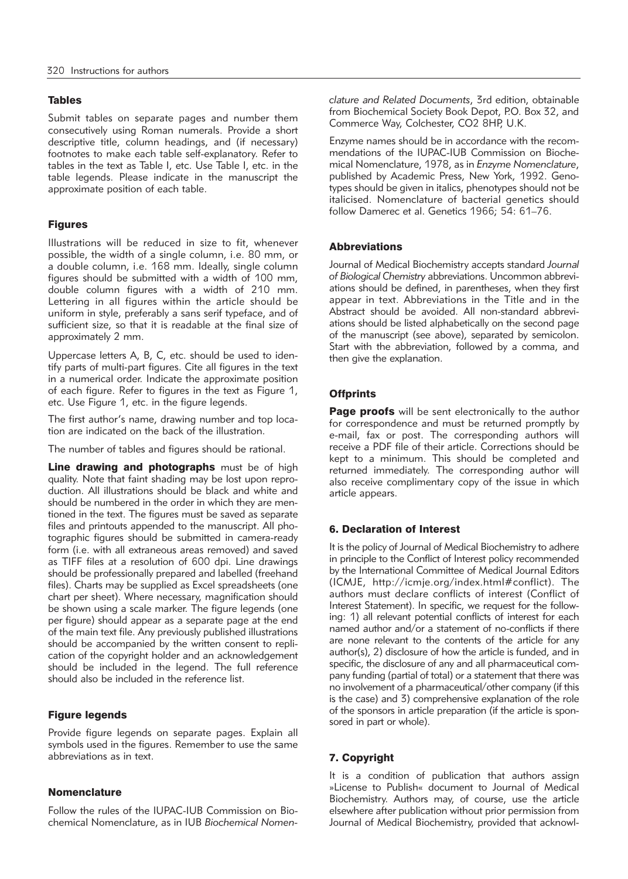## Tables

Submit tables on separate pages and number them consecutively using Roman numerals. Provide a short descriptive title, column headings, and (if necessary) footnotes to make each table self-explanatory. Refer to tables in the text as Table I, etc. Use Table I, etc. in the table legends. Please indicate in the manuscript the approximate position of each table.

# Figures

Illustrations will be reduced in size to fit, whenever possible, the width of a single column, i.e. 80 mm, or a double column, i.e. 168 mm. Ideally, single column figures should be submitted with a width of 100 mm, double column figures with a width of 210 mm. Lettering in all figures within the article should be uniform in style, preferably a sans serif typeface, and of sufficient size, so that it is readable at the final size of approximately 2 mm.

Uppercase letters A, B, C, etc. should be used to identify parts of multi-part figures. Cite all figures in the text in a numerical order. Indicate the approximate position of each figure. Refer to figures in the text as Figure 1, etc. Use Figure 1, etc. in the figure legends.

The first author's name, drawing number and top location are indicated on the back of the illustration.

The number of tables and figures should be rational.

Line drawing and photographs must be of high quality. Note that faint shading may be lost upon reproduction. All illustrations should be black and white and should be numbered in the order in which they are mentioned in the text. The figures must be saved as separate files and printouts appended to the manuscript. All photographic figures should be submitted in camera-ready form (i.e. with all extraneous areas removed) and saved as TIFF files at a resolution of 600 dpi. Line drawings should be professionally prepared and labelled (freehand files). Charts may be supplied as Excel spreadsheets (one chart per sheet). Where necessary, magnification should be shown using a scale marker. The figure legends (one per figure) should appear as a separate page at the end of the main text file. Any previously published illustrations should be accompanied by the written consent to replication of the copyright holder and an acknowledgement should be included in the legend. The full reference should also be included in the reference list.

### Figure legends

Provide figure legends on separate pages. Explain all symbols used in the figures. Remember to use the same abbreviations as in text.

## Nomenclature

Follow the rules of the IUPAC-IUB Commission on Biochemical Nomenclature, as in IUB *Biochemical Nomen -* *clature and Related Documents*, 3rd edition, obtainable from Biochemical Society Book Depot, P.O. Box 32, and Commerce Way, Colchester, CO2 8HP, U.K.

Enzyme names should be in accordance with the recommendations of the IUPAC-IUB Commission on Biochemical Nomenclature, 1978, as in *Enzyme Nomenclature*, published by Academic Press, New York, 1992. Genotypes should be given in italics, phenotypes should not be italicised. Nomenclature of bacterial genetics should follow Damerec et al. Genetics 1966; 54: 61–76.

### Abbreviations

Journal of Medical Biochemistry accepts standard *Journal* of Biological Chemistry abbreviations. Uncommon abbreviations should be defined, in parentheses, when they first appear in text. Abbreviations in the Title and in the Abstract should be avoided. All non-standard abbrevi ations should be listed alphabetically on the second page of the manuscript (see above), separated by semicolon. Start with the abbreviation, followed by a comma, and then give the explanation.

# **Offprints**

Page proofs will be sent electronically to the author for correspondence and must be returned promptly by e-mail, fax or post. The corresponding authors will receive a PDF file of their article. Corrections should be kept to a minimum. This should be completed and returned immediately. The corresponding author will also receive complimentary copy of the issue in which article appears.

# 6. Declaration of Interest

It is the policy of Journal of Medical Biochemistry to adhere in principle to the Conflict of Interest policy recommended by the International Committee of Medical Journal Editors (ICMJE, http://icmje.org/index.html#conflict). The authors must declare conflicts of interest (Conflict of Interest Statement). In specific, we request for the following: 1) all relevant potential conflicts of interest for each named author and/or a statement of no-conflicts if there are none relevant to the contents of the article for any author(s), 2) disclosure of how the article is funded, and in specific, the disclosure of any and all pharmaceutical company funding (partial of total) or a statement that there was no involvement of a pharmaceutical/other company (if this is the case) and 3) comprehensive explanation of the role of the sponsors in article preparation (if the article is sponsored in part or whole).

# 7. Copyright

It is a condition of publication that authors assign »License to Publish« document to Journal of Medical Biochemistry. Authors may, of course, use the article elsewhere after publication without prior permission from Journal of Medical Biochemistry, provided that acknowl